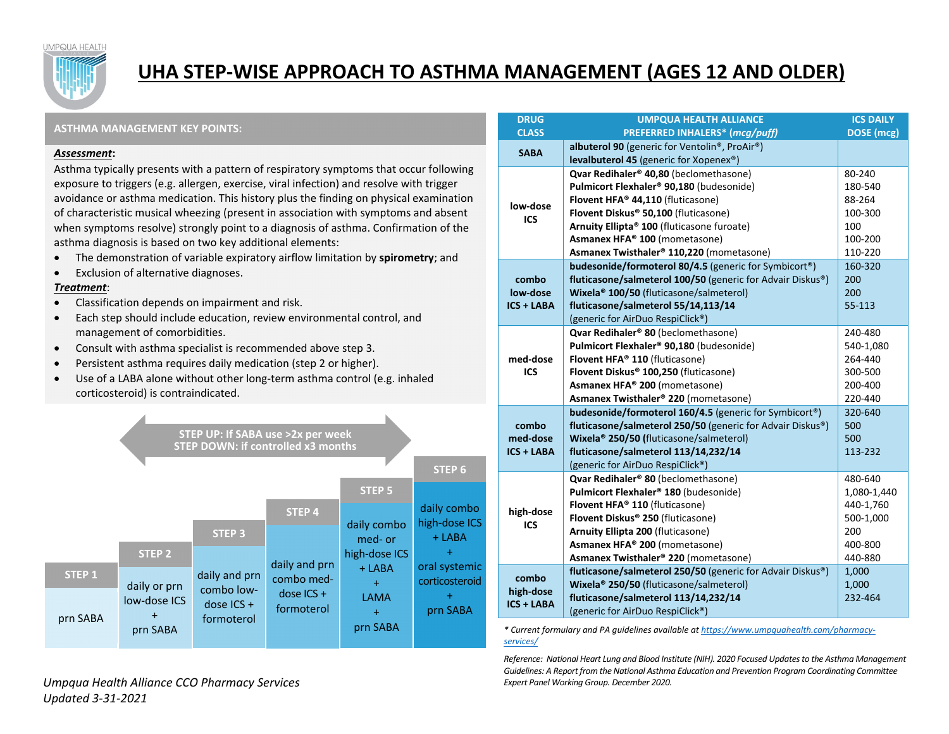**JMPQUA HEALTH** 



# **UHA STEP‐WISE APPROACH TO ASTHMA MANAGEMENT (AGES 12 AND OLDER)**

## **ASTHMA MANAGEMENT KEY POINTS:**

#### *Assessment***:**

Asthma typically presents with <sup>a</sup> pattern of respiratory symptoms that occur following exposure to triggers (e.g. allergen, exercise, viral infection) and resolve with trigger avoidance or asthma medication. This history plus the finding on physical examination of characteristic musical wheezing (present in association with symptoms and absent when symptoms resolve) strongly point to <sup>a</sup> diagnosis of asthma. Confirmation of the asthma diagnosis is based on two key additional elements:

- $\bullet$ The demonstration of variable expiratory airflow limitation by **spirometry**; and
- $\bullet$ **•** Exclusion of alternative diagnoses.

## *Treatment*:

- $\bullet$ Classification depends on impairment and risk.
- $\bullet$  Each step should include education, review environmental control, and management of comorbidities.
- $\bullet$ Consult with asthma specialist is recommended above step 3.
- $\bullet$ Persistent asthma requires daily medication (step 2 or higher).
- $\bullet$ ● Use of a LABA alone without other long-term asthma control (e.g. inhaled corticosteroid) is contraindicated.



| <b>DRUG</b>       | <b>UMPQUA HEALTH ALLIANCE</b>                                       | <b>ICS DAILY</b> |
|-------------------|---------------------------------------------------------------------|------------------|
| <b>CLASS</b>      | PREFERRED INHALERS* (mcg/puff)                                      | DOSE (mcg)       |
| <b>SABA</b>       | albuterol 90 (generic for Ventolin®, ProAir®)                       |                  |
|                   | levalbuterol 45 (generic for Xopenex®)                              |                  |
|                   | Qvar Redihaler® 40,80 (beclomethasone)                              | 80-240           |
|                   | Pulmicort Flexhaler <sup>®</sup> 90,180 (budesonide)                | 180-540          |
| low-dose          | Flovent HFA® 44,110 (fluticasone)                                   | 88-264           |
| ICS               | Flovent Diskus® 50,100 (fluticasone)                                | 100-300          |
|                   | Arnuity Ellipta® 100 (fluticasone furoate)                          | 100              |
|                   | Asmanex HFA® 100 (mometasone)                                       | 100-200          |
|                   | Asmanex Twisthaler® 110,220 (mometasone)                            | 110-220          |
|                   | budesonide/formoterol 80/4.5 (generic for Symbicort®)               | 160-320          |
| combo             | fluticasone/salmeterol 100/50 (generic for Advair Diskus®)          | 200              |
| low-dose          | Wixela <sup>®</sup> 100/50 (fluticasone/salmeterol)                 | 200              |
| ICS + LABA        | fluticasone/salmeterol 55/14,113/14                                 | 55-113           |
|                   | (generic for AirDuo RespiClick®)                                    |                  |
|                   | Qvar Redihaler® 80 (beclomethasone)                                 | 240-480          |
|                   | Pulmicort Flexhaler <sup>®</sup> 90,180 (budesonide)                | 540-1,080        |
| med-dose          | Flovent HFA® 110 (fluticasone)                                      | 264-440          |
| <b>ICS</b>        | Flovent Diskus® 100,250 (fluticasone)                               | 300-500          |
|                   | Asmanex HFA® 200 (mometasone)                                       | 200-400          |
|                   | Asmanex Twisthaler® 220 (mometasone)                                | 220-440          |
|                   | budesonide/formoterol 160/4.5 (generic for Symbicort <sup>®</sup> ) | 320-640          |
| combo             | fluticasone/salmeterol 250/50 (generic for Advair Diskus®)          | 500              |
| med-dose          | Wixela <sup>®</sup> 250/50 (fluticasone/salmeterol)                 | 500              |
| ICS + LABA        | fluticasone/salmeterol 113/14,232/14                                | 113-232          |
|                   | (generic for AirDuo RespiClick®)                                    |                  |
| high-dose<br>ICS  | Qvar Redihaler® 80 (beclomethasone)                                 | 480-640          |
|                   | Pulmicort Flexhaler <sup>®</sup> 180 (budesonide)                   | 1,080-1,440      |
|                   | Flovent HFA® 110 (fluticasone)                                      | 440-1,760        |
|                   | Flovent Diskus® 250 (fluticasone)                                   | 500-1,000        |
|                   | Arnuity Ellipta 200 (fluticasone)                                   | 200              |
|                   | Asmanex HFA® 200 (mometasone)                                       | 400-800          |
|                   | Asmanex Twisthaler® 220 (mometasone)                                | 440-880          |
| combo             | fluticasone/salmeterol 250/50 (generic for Advair Diskus®)          | 1,000            |
| high-dose         | Wixela <sup>®</sup> 250/50 (fluticasone/salmeterol)                 | 1,000            |
| <b>ICS + LABA</b> | fluticasone/salmeterol 113/14,232/14                                | 232-464          |
|                   | (generic for AirDuo RespiClick®)                                    |                  |

*\* Current formulary and PA guidelines available at https://www.umpquahealth.com/pharmacy‐ services/*

*Reference: National Heart Lung and Blood Institute (NIH). 2020 Focused Updatesto the Asthma Management Guidelines: A Report from the National Asthma Education and Prevention Program Coordinating Committee Expert Panel Working Group. December 2020.*